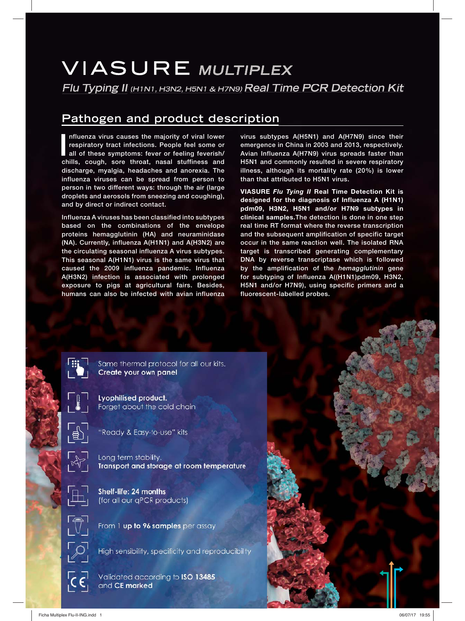# **VIASURE MULTIPLEX**

**Flu Typing II (H1N1, H3N2, H5N1 & H7N9) Real Time PCR Detection Kit**

# **Pathogen and product description**

Influenza virus causes the majority of viral lower<br>respiratory tract infections. People feel some or<br>all of these symptoms: fever or feeling feverish/<br>chills, cough, sore throat, nasal stuffiness and **nfluenza virus causes the majority of viral lower respiratory tract infections. People feel some or all of these symptoms: fever or feeling feverish/ discharge, myalgia, headaches and anorexia. The influenza viruses can be spread from person to person in two different ways: through the air (large droplets and aerosols from sneezing and coughing), and by direct or indirect contact.**

**Influenza A viruses has been classified into subtypes based on the combinations of the envelope proteins hemagglutinin (HA) and neuraminidase (NA). Currently, influenza A(H1N1) and A(H3N2) are the circulating seasonal influenza A virus subtypes. This seasonal A(H1N1) virus is the same virus that caused the 2009 influenza pandemic. Influenza A(H3N2) infection is associated with prolonged exposure to pigs at agricultural fairs. Besides, humans can also be infected with avian influenza**  **virus subtypes A(H5N1) and A(H7N9) since their emergence in China in 2003 and 2013, respectively. Avian Influenza A(H7N9) virus spreads faster than H5N1 and commonly resulted in severe respiratory illness, although its mortality rate (20%) is lower than that attributed to H5N1 virus.**

**VIASURE** *Flu Tying II* **Real Time Detection Kit is designed for the diagnosis of Influenza A (H1N1) pdm09, H3N2, H5N1 and/or H7N9 subtypes in clinical samples.The detection is done in one step real time RT format where the reverse transcription and the subsequent amplification of specific target occur in the same reaction well. The isolated RNA target is transcribed generating complementary DNA by reverse transcriptase which is followed by the amplification of the** *hemagglutinin* **gene for subtyping of Influenza A((H1N1)pdm09, H3N2, H5N1 and/or H7N9), using specific primers and a fluorescent-labelled probes.**



Same thermal protocol for all our kits. Create your own panel

Lyophilised product. Forget about the cold chain



"Ready & Easy-to-use" kits

Shelf-life: 24 months



Long term stability. Transport and storage at room temperature



(for all our gPCR products)

From 1 up to 96 samples per assay

High sensibility, specificity and reproducibility

Validated according to ISO 13485 and CE marked